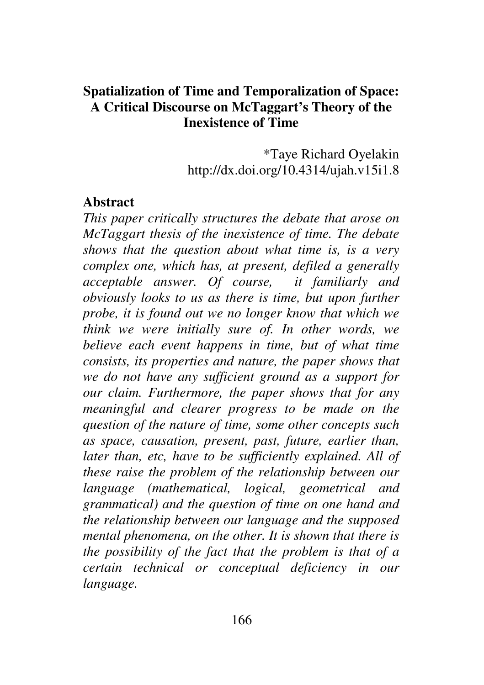### **Spatialization of Time and Temporalization of Space: A Critical Discourse on McTaggart's Theory of the Inexistence of Time**

\*Taye Richard Oyelakin http://dx.doi.org/10.4314/ujah.v15i1.8

#### **Abstract**

*This paper critically structures the debate that arose on McTaggart thesis of the inexistence of time. The debate shows that the question about what time is, is a very complex one, which has, at present, defiled a generally acceptable answer. Of course, it familiarly and obviously looks to us as there is time, but upon further probe, it is found out we no longer know that which we think we were initially sure of. In other words, we believe each event happens in time, but of what time consists, its properties and nature, the paper shows that we do not have any sufficient ground as a support for our claim. Furthermore, the paper shows that for any meaningful and clearer progress to be made on the question of the nature of time, some other concepts such as space, causation, present, past, future, earlier than, later than, etc, have to be sufficiently explained. All of these raise the problem of the relationship between our language (mathematical, logical, geometrical and grammatical) and the question of time on one hand and the relationship between our language and the supposed mental phenomena, on the other. It is shown that there is the possibility of the fact that the problem is that of a certain technical or conceptual deficiency in our language.*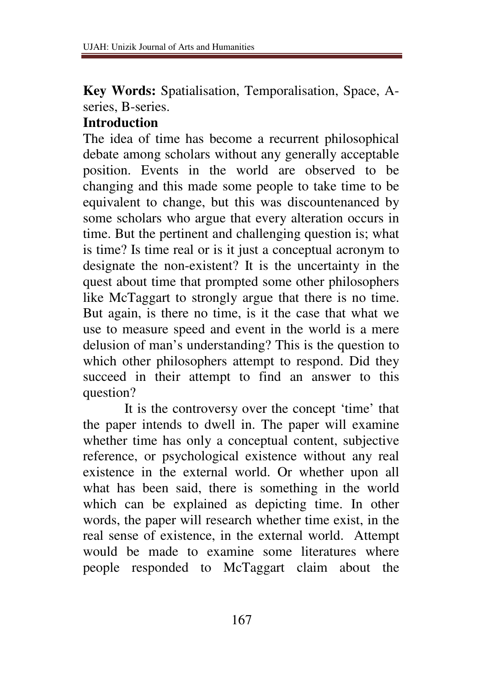**Key Words:** Spatialisation, Temporalisation, Space, Aseries, B-series.

### **Introduction**

The idea of time has become a recurrent philosophical debate among scholars without any generally acceptable position. Events in the world are observed to be changing and this made some people to take time to be equivalent to change, but this was discountenanced by some scholars who argue that every alteration occurs in time. But the pertinent and challenging question is; what is time? Is time real or is it just a conceptual acronym to designate the non-existent? It is the uncertainty in the quest about time that prompted some other philosophers like McTaggart to strongly argue that there is no time. But again, is there no time, is it the case that what we use to measure speed and event in the world is a mere delusion of man's understanding? This is the question to which other philosophers attempt to respond. Did they succeed in their attempt to find an answer to this question?

It is the controversy over the concept 'time' that the paper intends to dwell in. The paper will examine whether time has only a conceptual content, subjective reference, or psychological existence without any real existence in the external world. Or whether upon all what has been said, there is something in the world which can be explained as depicting time. In other words, the paper will research whether time exist, in the real sense of existence, in the external world. Attempt would be made to examine some literatures where people responded to McTaggart claim about the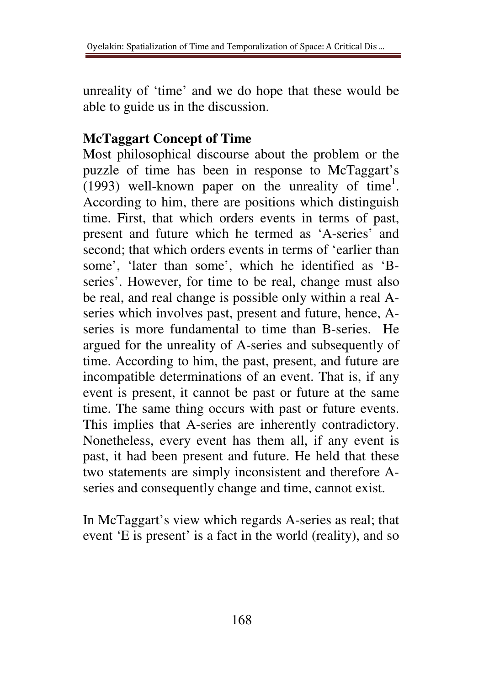unreality of 'time' and we do hope that these would be able to guide us in the discussion.

# **McTaggart Concept of Time**

Most philosophical discourse about the problem or the puzzle of time has been in response to McTaggart's  $(1993)$  well-known paper on the unreality of time<sup>1</sup>. According to him, there are positions which distinguish time. First, that which orders events in terms of past, present and future which he termed as 'A-series' and second; that which orders events in terms of 'earlier than some', 'later than some', which he identified as 'Bseries'. However, for time to be real, change must also be real, and real change is possible only within a real Aseries which involves past, present and future, hence, Aseries is more fundamental to time than B-series. He argued for the unreality of A-series and subsequently of time. According to him, the past, present, and future are incompatible determinations of an event. That is, if any event is present, it cannot be past or future at the same time. The same thing occurs with past or future events. This implies that A-series are inherently contradictory. Nonetheless, every event has them all, if any event is past, it had been present and future. He held that these two statements are simply inconsistent and therefore Aseries and consequently change and time, cannot exist.

In McTaggart's view which regards A-series as real; that event 'E is present' is a fact in the world (reality), and so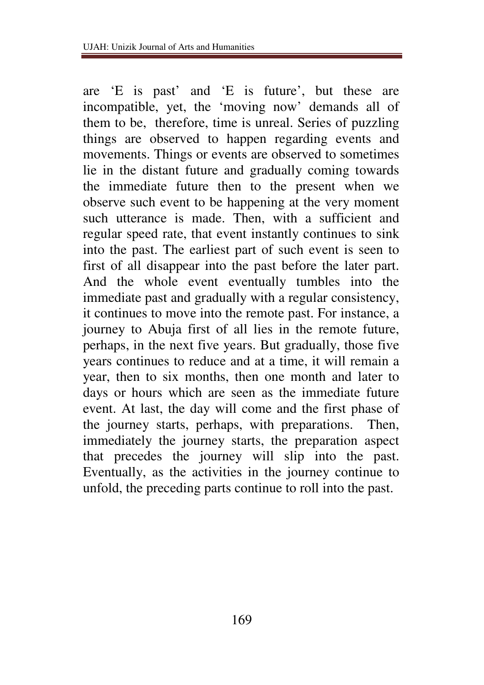are 'E is past' and 'E is future', but these are incompatible, yet, the 'moving now' demands all of them to be, therefore, time is unreal. Series of puzzling things are observed to happen regarding events and movements. Things or events are observed to sometimes lie in the distant future and gradually coming towards the immediate future then to the present when we observe such event to be happening at the very moment such utterance is made. Then, with a sufficient and regular speed rate, that event instantly continues to sink into the past. The earliest part of such event is seen to first of all disappear into the past before the later part. And the whole event eventually tumbles into the immediate past and gradually with a regular consistency, it continues to move into the remote past. For instance, a journey to Abuja first of all lies in the remote future, perhaps, in the next five years. But gradually, those five years continues to reduce and at a time, it will remain a year, then to six months, then one month and later to days or hours which are seen as the immediate future event. At last, the day will come and the first phase of the journey starts, perhaps, with preparations. Then, immediately the journey starts, the preparation aspect that precedes the journey will slip into the past. Eventually, as the activities in the journey continue to unfold, the preceding parts continue to roll into the past.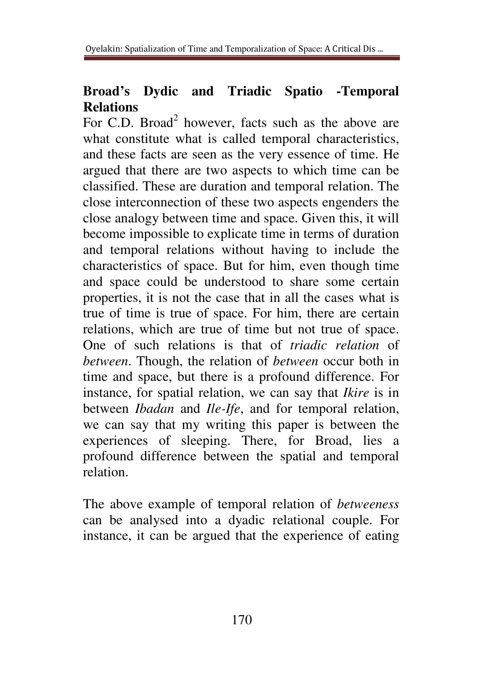## **Broad's Dydic and Triadic Spatio -Temporal Relations**

For C.D. Broad<sup>2</sup> however, facts such as the above are what constitute what is called temporal characteristics, and these facts are seen as the very essence of time. He argued that there are two aspects to which time can be classified. These are duration and temporal relation. The close interconnection of these two aspects engenders the close analogy between time and space. Given this, it will become impossible to explicate time in terms of duration and temporal relations without having to include the characteristics of space. But for him, even though time and space could be understood to share some certain properties, it is not the case that in all the cases what is true of time is true of space. For him, there are certain relations, which are true of time but not true of space. One of such relations is that of *triadic relation* of *between*. Though, the relation of *between* occur both in time and space, but there is a profound difference. For instance, for spatial relation, we can say that *Ikire* is in between *Ibadan* and *Ile-Ife*, and for temporal relation, we can say that my writing this paper is between the experiences of sleeping. There, for Broad, lies a profound difference between the spatial and temporal relation.

The above example of temporal relation of *betweeness*  can be analysed into a dyadic relational couple. For instance, it can be argued that the experience of eating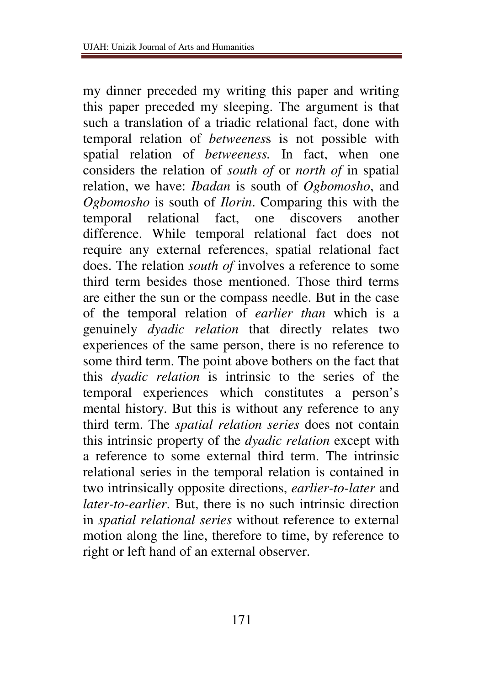my dinner preceded my writing this paper and writing this paper preceded my sleeping. The argument is that such a translation of a triadic relational fact, done with temporal relation of *betweenes*s is not possible with spatial relation of *betweeness.* In fact, when one considers the relation of *south of* or *north of* in spatial relation, we have: *Ibadan* is south of *Ogbomosho*, and *Ogbomosho* is south of *Ilorin*. Comparing this with the temporal relational fact, one discovers another difference. While temporal relational fact does not require any external references, spatial relational fact does. The relation *south of* involves a reference to some third term besides those mentioned. Those third terms are either the sun or the compass needle. But in the case of the temporal relation of *earlier than* which is a genuinely *dyadic relation* that directly relates two experiences of the same person, there is no reference to some third term. The point above bothers on the fact that this *dyadic relation* is intrinsic to the series of the temporal experiences which constitutes a person's mental history. But this is without any reference to any third term. The *spatial relation series* does not contain this intrinsic property of the *dyadic relation* except with a reference to some external third term. The intrinsic relational series in the temporal relation is contained in two intrinsically opposite directions, *earlier-to-later* and *later-to-earlier*. But, there is no such intrinsic direction in *spatial relational series* without reference to external motion along the line, therefore to time, by reference to right or left hand of an external observer.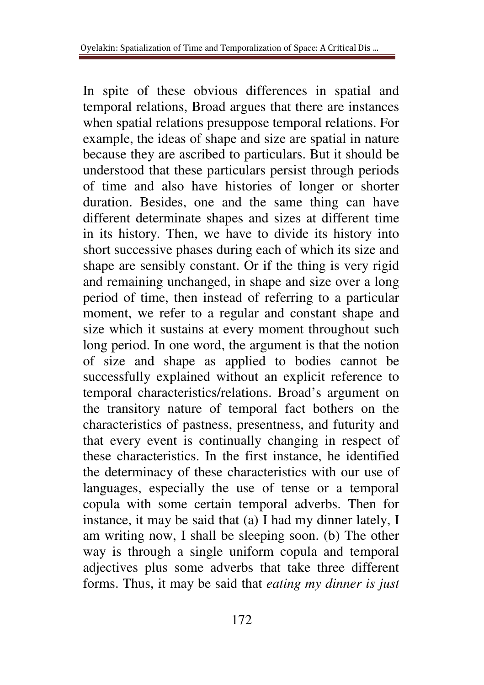In spite of these obvious differences in spatial and temporal relations, Broad argues that there are instances when spatial relations presuppose temporal relations. For example, the ideas of shape and size are spatial in nature because they are ascribed to particulars. But it should be understood that these particulars persist through periods of time and also have histories of longer or shorter duration. Besides, one and the same thing can have different determinate shapes and sizes at different time in its history. Then, we have to divide its history into short successive phases during each of which its size and shape are sensibly constant. Or if the thing is very rigid and remaining unchanged, in shape and size over a long period of time, then instead of referring to a particular moment, we refer to a regular and constant shape and size which it sustains at every moment throughout such long period. In one word, the argument is that the notion of size and shape as applied to bodies cannot be successfully explained without an explicit reference to temporal characteristics/relations. Broad's argument on the transitory nature of temporal fact bothers on the characteristics of pastness, presentness, and futurity and that every event is continually changing in respect of these characteristics. In the first instance, he identified the determinacy of these characteristics with our use of languages, especially the use of tense or a temporal copula with some certain temporal adverbs. Then for instance, it may be said that (a) I had my dinner lately, I am writing now, I shall be sleeping soon. (b) The other way is through a single uniform copula and temporal adjectives plus some adverbs that take three different forms. Thus, it may be said that *eating my dinner is just*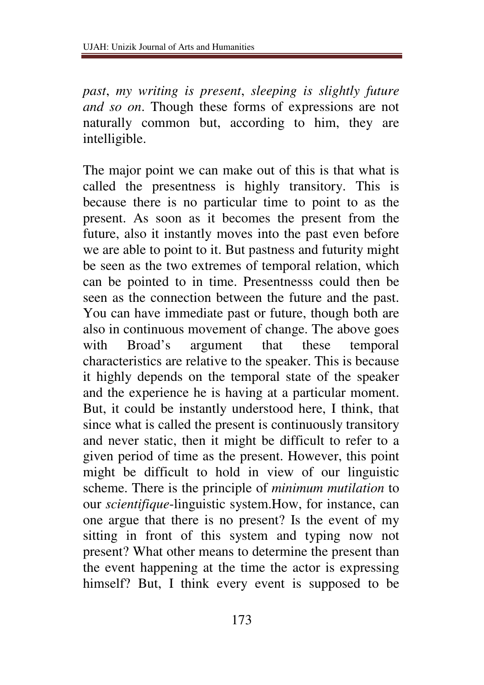*past*, *my writing is present*, *sleeping is slightly future and so on*. Though these forms of expressions are not naturally common but, according to him, they are intelligible.

The major point we can make out of this is that what is called the presentness is highly transitory. This is because there is no particular time to point to as the present. As soon as it becomes the present from the future, also it instantly moves into the past even before we are able to point to it. But pastness and futurity might be seen as the two extremes of temporal relation, which can be pointed to in time. Presentnesss could then be seen as the connection between the future and the past. You can have immediate past or future, though both are also in continuous movement of change. The above goes with Broad's argument that these temporal characteristics are relative to the speaker. This is because it highly depends on the temporal state of the speaker and the experience he is having at a particular moment. But, it could be instantly understood here, I think, that since what is called the present is continuously transitory and never static, then it might be difficult to refer to a given period of time as the present. However, this point might be difficult to hold in view of our linguistic scheme. There is the principle of *minimum mutilation* to our *scientifique*-linguistic system.How, for instance, can one argue that there is no present? Is the event of my sitting in front of this system and typing now not present? What other means to determine the present than the event happening at the time the actor is expressing himself? But, I think every event is supposed to be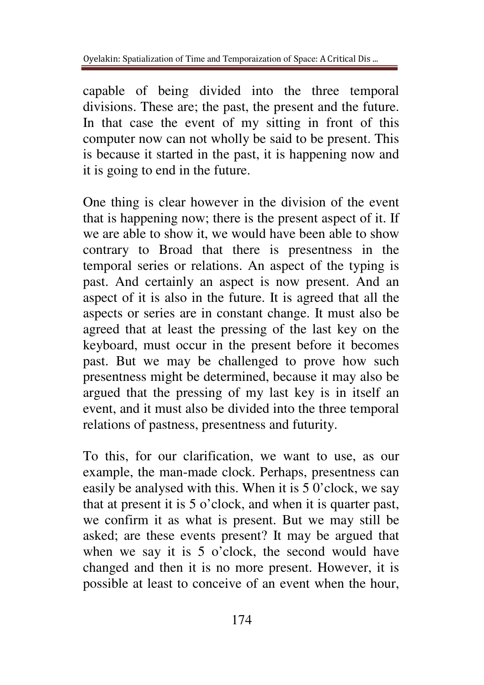capable of being divided into the three temporal divisions. These are; the past, the present and the future. In that case the event of my sitting in front of this computer now can not wholly be said to be present. This is because it started in the past, it is happening now and it is going to end in the future.

One thing is clear however in the division of the event that is happening now; there is the present aspect of it. If we are able to show it, we would have been able to show contrary to Broad that there is presentness in the temporal series or relations. An aspect of the typing is past. And certainly an aspect is now present. And an aspect of it is also in the future. It is agreed that all the aspects or series are in constant change. It must also be agreed that at least the pressing of the last key on the keyboard, must occur in the present before it becomes past. But we may be challenged to prove how such presentness might be determined, because it may also be argued that the pressing of my last key is in itself an event, and it must also be divided into the three temporal relations of pastness, presentness and futurity.

To this, for our clarification, we want to use, as our example, the man-made clock. Perhaps, presentness can easily be analysed with this. When it is 5 0'clock, we say that at present it is 5 o'clock, and when it is quarter past, we confirm it as what is present. But we may still be asked; are these events present? It may be argued that when we say it is 5 o'clock, the second would have changed and then it is no more present. However, it is possible at least to conceive of an event when the hour,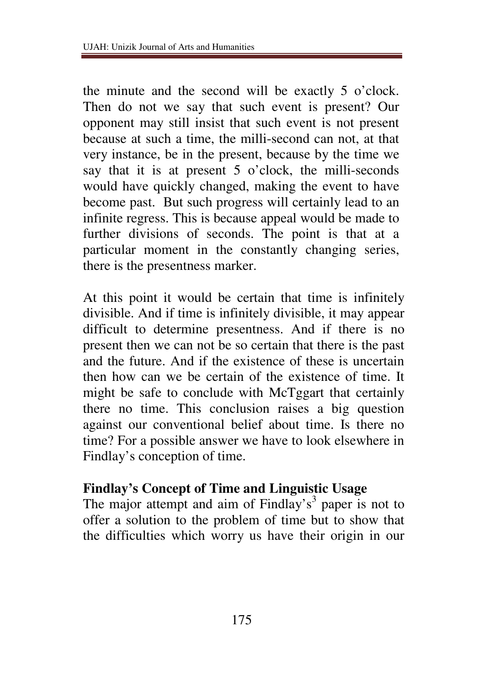the minute and the second will be exactly 5 o'clock. Then do not we say that such event is present? Our opponent may still insist that such event is not present because at such a time, the milli-second can not, at that very instance, be in the present, because by the time we say that it is at present 5 o'clock, the milli-seconds would have quickly changed, making the event to have become past. But such progress will certainly lead to an infinite regress. This is because appeal would be made to further divisions of seconds. The point is that at a particular moment in the constantly changing series, there is the presentness marker.

At this point it would be certain that time is infinitely divisible. And if time is infinitely divisible, it may appear difficult to determine presentness. And if there is no present then we can not be so certain that there is the past and the future. And if the existence of these is uncertain then how can we be certain of the existence of time. It might be safe to conclude with McTggart that certainly there no time. This conclusion raises a big question against our conventional belief about time. Is there no time? For a possible answer we have to look elsewhere in Findlay's conception of time.

### **Findlay's Concept of Time and Linguistic Usage**

The major attempt and aim of Findlay's<sup>3</sup> paper is not to offer a solution to the problem of time but to show that the difficulties which worry us have their origin in our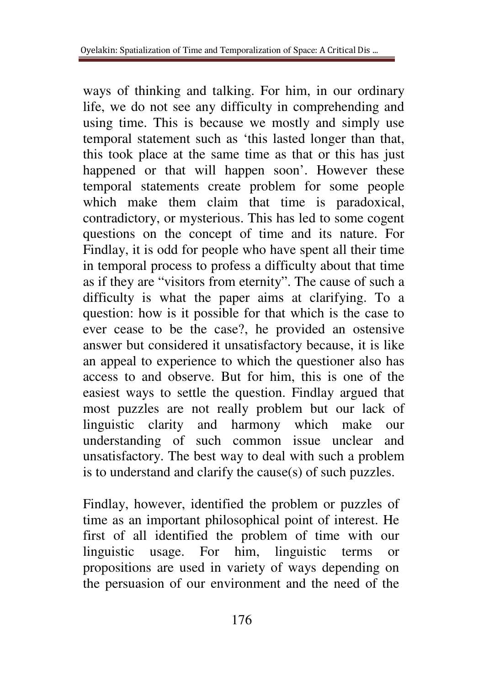ways of thinking and talking. For him, in our ordinary life, we do not see any difficulty in comprehending and using time. This is because we mostly and simply use temporal statement such as 'this lasted longer than that, this took place at the same time as that or this has just happened or that will happen soon'. However these temporal statements create problem for some people which make them claim that time is paradoxical, contradictory, or mysterious. This has led to some cogent questions on the concept of time and its nature. For Findlay, it is odd for people who have spent all their time in temporal process to profess a difficulty about that time as if they are "visitors from eternity". The cause of such a difficulty is what the paper aims at clarifying. To a question: how is it possible for that which is the case to ever cease to be the case?, he provided an ostensive answer but considered it unsatisfactory because, it is like an appeal to experience to which the questioner also has access to and observe. But for him, this is one of the easiest ways to settle the question. Findlay argued that most puzzles are not really problem but our lack of linguistic clarity and harmony which make our understanding of such common issue unclear and unsatisfactory. The best way to deal with such a problem is to understand and clarify the cause(s) of such puzzles.

Findlay, however, identified the problem or puzzles of time as an important philosophical point of interest. He first of all identified the problem of time with our linguistic usage. For him, linguistic terms or propositions are used in variety of ways depending on the persuasion of our environment and the need of the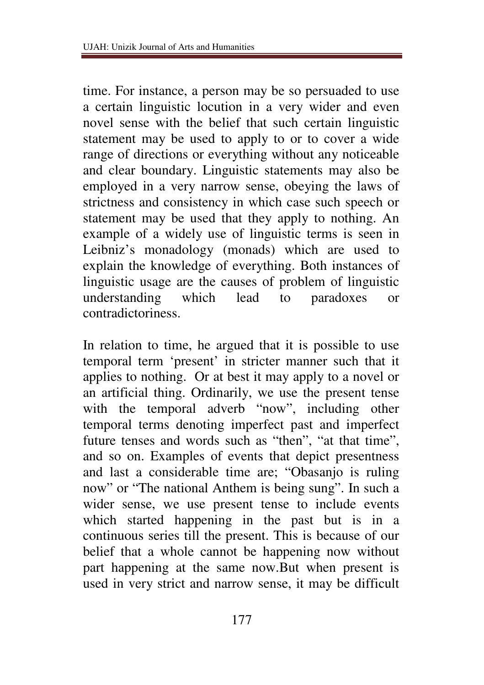time. For instance, a person may be so persuaded to use a certain linguistic locution in a very wider and even novel sense with the belief that such certain linguistic statement may be used to apply to or to cover a wide range of directions or everything without any noticeable and clear boundary. Linguistic statements may also be employed in a very narrow sense, obeying the laws of strictness and consistency in which case such speech or statement may be used that they apply to nothing. An example of a widely use of linguistic terms is seen in Leibniz's monadology (monads) which are used to explain the knowledge of everything. Both instances of linguistic usage are the causes of problem of linguistic understanding which lead to paradoxes or contradictoriness.

In relation to time, he argued that it is possible to use temporal term 'present' in stricter manner such that it applies to nothing. Or at best it may apply to a novel or an artificial thing. Ordinarily, we use the present tense with the temporal adverb "now", including other temporal terms denoting imperfect past and imperfect future tenses and words such as "then", "at that time", and so on. Examples of events that depict presentness and last a considerable time are; "Obasanjo is ruling now" or "The national Anthem is being sung". In such a wider sense, we use present tense to include events which started happening in the past but is in a continuous series till the present. This is because of our belief that a whole cannot be happening now without part happening at the same now.But when present is used in very strict and narrow sense, it may be difficult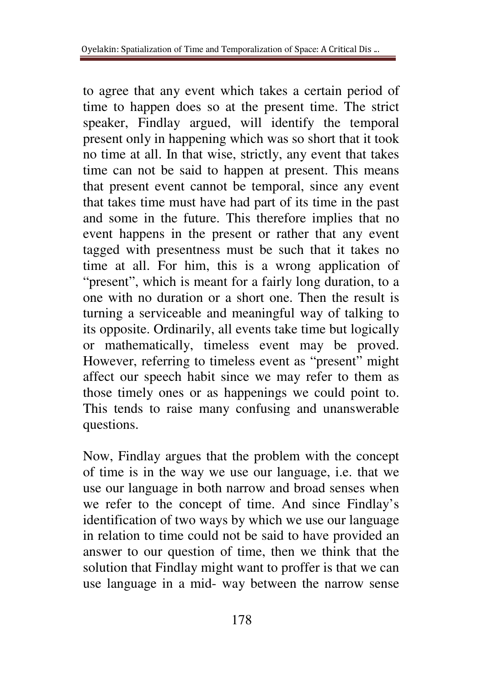to agree that any event which takes a certain period of time to happen does so at the present time. The strict speaker, Findlay argued, will identify the temporal present only in happening which was so short that it took no time at all. In that wise, strictly, any event that takes time can not be said to happen at present. This means that present event cannot be temporal, since any event that takes time must have had part of its time in the past and some in the future. This therefore implies that no event happens in the present or rather that any event tagged with presentness must be such that it takes no time at all. For him, this is a wrong application of "present", which is meant for a fairly long duration, to a one with no duration or a short one. Then the result is turning a serviceable and meaningful way of talking to its opposite. Ordinarily, all events take time but logically or mathematically, timeless event may be proved. However, referring to timeless event as "present" might affect our speech habit since we may refer to them as those timely ones or as happenings we could point to. This tends to raise many confusing and unanswerable questions.

Now, Findlay argues that the problem with the concept of time is in the way we use our language, i.e. that we use our language in both narrow and broad senses when we refer to the concept of time. And since Findlay's identification of two ways by which we use our language in relation to time could not be said to have provided an answer to our question of time, then we think that the solution that Findlay might want to proffer is that we can use language in a mid- way between the narrow sense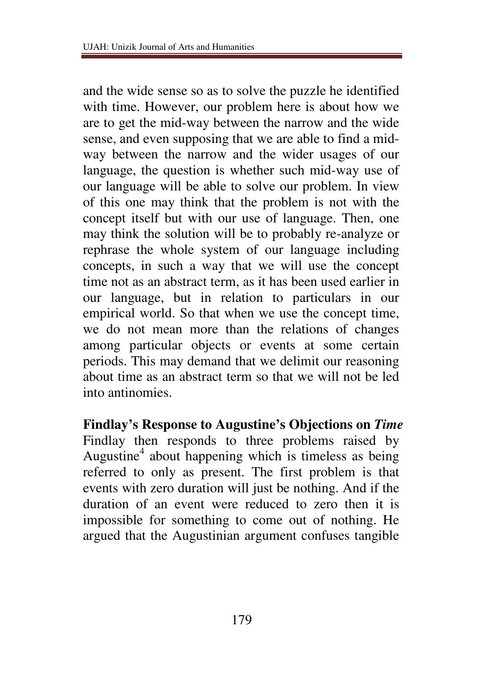and the wide sense so as to solve the puzzle he identified with time. However, our problem here is about how we are to get the mid-way between the narrow and the wide sense, and even supposing that we are able to find a midway between the narrow and the wider usages of our language, the question is whether such mid-way use of our language will be able to solve our problem. In view of this one may think that the problem is not with the concept itself but with our use of language. Then, one may think the solution will be to probably re-analyze or rephrase the whole system of our language including concepts, in such a way that we will use the concept time not as an abstract term, as it has been used earlier in our language, but in relation to particulars in our empirical world. So that when we use the concept time, we do not mean more than the relations of changes among particular objects or events at some certain periods. This may demand that we delimit our reasoning about time as an abstract term so that we will not be led into antinomies.

**Findlay's Response to Augustine's Objections on** *Time*  Findlay then responds to three problems raised by Augustine<sup>4</sup> about happening which is timeless as being referred to only as present. The first problem is that events with zero duration will just be nothing. And if the duration of an event were reduced to zero then it is impossible for something to come out of nothing. He argued that the Augustinian argument confuses tangible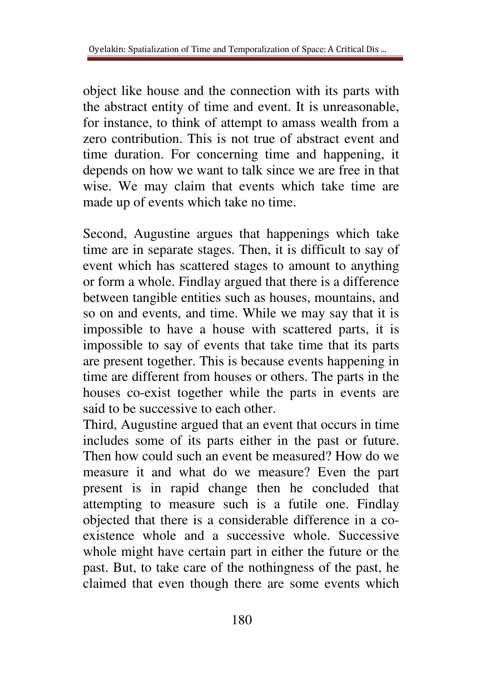object like house and the connection with its parts with the abstract entity of time and event. It is unreasonable, for instance, to think of attempt to amass wealth from a zero contribution. This is not true of abstract event and time duration. For concerning time and happening, it depends on how we want to talk since we are free in that wise. We may claim that events which take time are made up of events which take no time.

Second, Augustine argues that happenings which take time are in separate stages. Then, it is difficult to say of event which has scattered stages to amount to anything or form a whole. Findlay argued that there is a difference between tangible entities such as houses, mountains, and so on and events, and time. While we may say that it is impossible to have a house with scattered parts, it is impossible to say of events that take time that its parts are present together. This is because events happening in time are different from houses or others. The parts in the houses co-exist together while the parts in events are said to be successive to each other.

Third, Augustine argued that an event that occurs in time includes some of its parts either in the past or future. Then how could such an event be measured? How do we measure it and what do we measure? Even the part present is in rapid change then he concluded that attempting to measure such is a futile one. Findlay objected that there is a considerable difference in a coexistence whole and a successive whole. Successive whole might have certain part in either the future or the past. But, to take care of the nothingness of the past, he claimed that even though there are some events which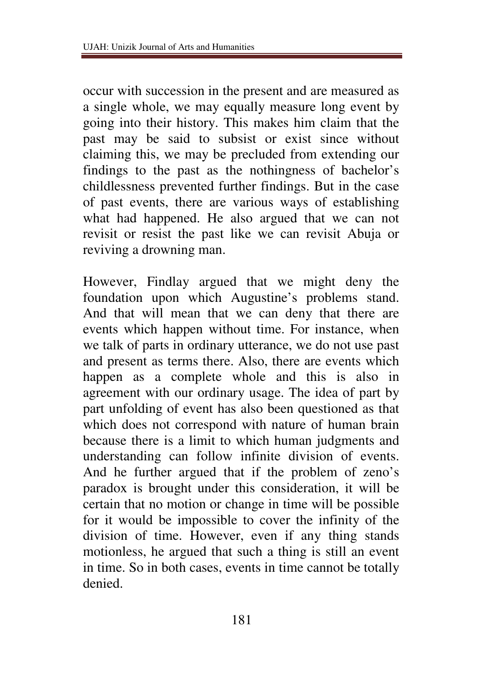occur with succession in the present and are measured as a single whole, we may equally measure long event by going into their history. This makes him claim that the past may be said to subsist or exist since without claiming this, we may be precluded from extending our findings to the past as the nothingness of bachelor's childlessness prevented further findings. But in the case of past events, there are various ways of establishing what had happened. He also argued that we can not revisit or resist the past like we can revisit Abuja or reviving a drowning man.

However, Findlay argued that we might deny the foundation upon which Augustine's problems stand. And that will mean that we can deny that there are events which happen without time. For instance, when we talk of parts in ordinary utterance, we do not use past and present as terms there. Also, there are events which happen as a complete whole and this is also in agreement with our ordinary usage. The idea of part by part unfolding of event has also been questioned as that which does not correspond with nature of human brain because there is a limit to which human judgments and understanding can follow infinite division of events. And he further argued that if the problem of zeno's paradox is brought under this consideration, it will be certain that no motion or change in time will be possible for it would be impossible to cover the infinity of the division of time. However, even if any thing stands motionless, he argued that such a thing is still an event in time. So in both cases, events in time cannot be totally denied.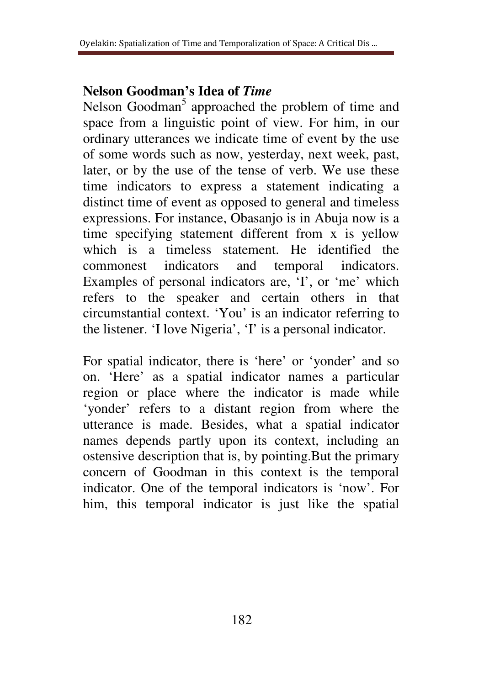#### **Nelson Goodman's Idea of** *Time*

Nelson Goodman<sup>5</sup> approached the problem of time and space from a linguistic point of view. For him, in our ordinary utterances we indicate time of event by the use of some words such as now, yesterday, next week, past, later, or by the use of the tense of verb. We use these time indicators to express a statement indicating a distinct time of event as opposed to general and timeless expressions. For instance, Obasanjo is in Abuja now is a time specifying statement different from x is yellow which is a timeless statement. He identified the commonest indicators and temporal indicators. Examples of personal indicators are, 'I', or 'me' which refers to the speaker and certain others in that circumstantial context. 'You' is an indicator referring to the listener. 'I love Nigeria', 'I' is a personal indicator.

For spatial indicator, there is 'here' or 'yonder' and so on. 'Here' as a spatial indicator names a particular region or place where the indicator is made while 'yonder' refers to a distant region from where the utterance is made. Besides, what a spatial indicator names depends partly upon its context, including an ostensive description that is, by pointing.But the primary concern of Goodman in this context is the temporal indicator. One of the temporal indicators is 'now'. For him, this temporal indicator is just like the spatial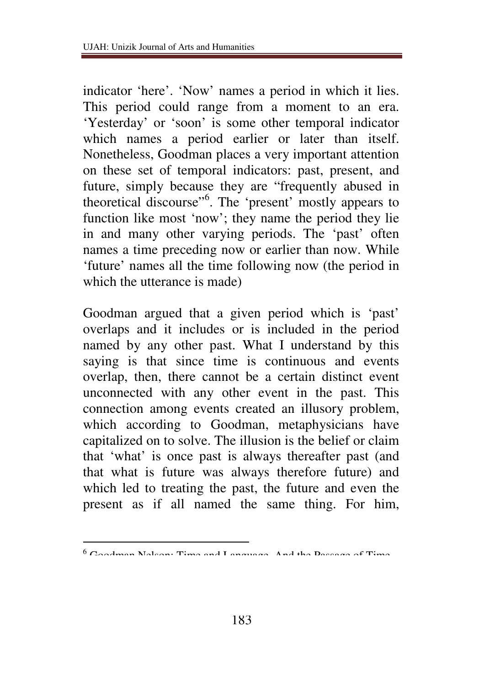indicator 'here'. 'Now' names a period in which it lies. This period could range from a moment to an era. 'Yesterday' or 'soon' is some other temporal indicator which names a period earlier or later than itself. Nonetheless, Goodman places a very important attention on these set of temporal indicators: past, present, and future, simply because they are "frequently abused in theoretical discourse"<sup>6</sup> . The 'present' mostly appears to function like most 'now'; they name the period they lie in and many other varying periods. The 'past' often names a time preceding now or earlier than now. While 'future' names all the time following now (the period in which the utterance is made)

Goodman argued that a given period which is 'past' overlaps and it includes or is included in the period named by any other past. What I understand by this saying is that since time is continuous and events overlap, then, there cannot be a certain distinct event unconnected with any other event in the past. This connection among events created an illusory problem, which according to Goodman, metaphysicians have capitalized on to solve. The illusion is the belief or claim that 'what' is once past is always thereafter past (and that what is future was always therefore future) and which led to treating the past, the future and even the present as if all named the same thing. For him,

<sup>&</sup>lt;u>6 Goodman Nalson; Time and Language, And the Dassage of Time</u>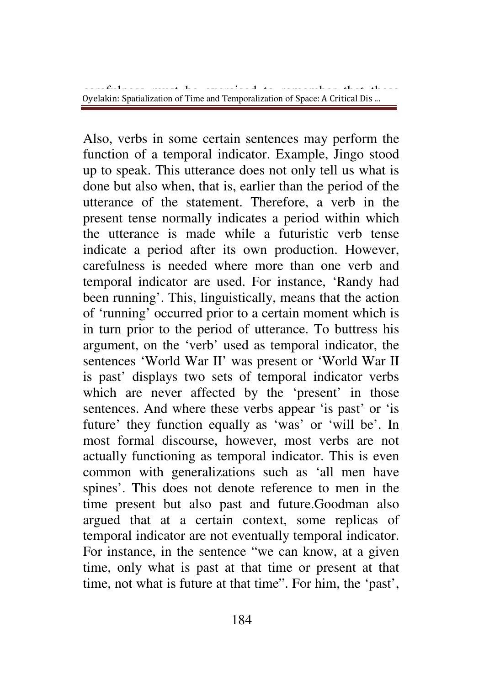c 1  $\pm$  1  $\pm$  1  $\pm$  1  $\pm$  1  $\pm$  1  $\pm$  1  $\pm$  1  $\pm$  1  $\pm$  1  $\pm$  1  $\pm$  1  $\pm$  1  $\pm$  1  $\pm$  1  $\pm$  1  $\pm$  1  $\pm$  1  $\pm$  1  $\pm$  1  $\pm$  1  $\pm$  1  $\pm$  1  $\pm$  1  $\pm$  1  $\pm$  1  $\pm$  1  $\pm$  1  $\pm$  1  $\pm$  1  $\pm$  1  $\pm$  1 Oyelakin: Spatialization of Time and Temporalization of Space: A Critical Dis ...<br>

Also, verbs in some certain sentences may perform the function of a temporal indicator. Example, Jingo stood up to speak. This utterance does not only tell us what is done but also when, that is, earlier than the period of the utterance of the statement. Therefore, a verb in the present tense normally indicates a period within which the utterance is made while a futuristic verb tense indicate a period after its own production. However, carefulness is needed where more than one verb and temporal indicator are used. For instance, 'Randy had been running'. This, linguistically, means that the action of 'running' occurred prior to a certain moment which is in turn prior to the period of utterance. To buttress his argument, on the 'verb' used as temporal indicator, the sentences 'World War II' was present or 'World War II is past' displays two sets of temporal indicator verbs which are never affected by the 'present' in those sentences. And where these verbs appear 'is past' or 'is future' they function equally as 'was' or 'will be'. In most formal discourse, however, most verbs are not actually functioning as temporal indicator. This is even common with generalizations such as 'all men have spines'. This does not denote reference to men in the time present but also past and future.Goodman also argued that at a certain context, some replicas of temporal indicator are not eventually temporal indicator. For instance, in the sentence "we can know, at a given time, only what is past at that time or present at that time, not what is future at that time". For him, the 'past',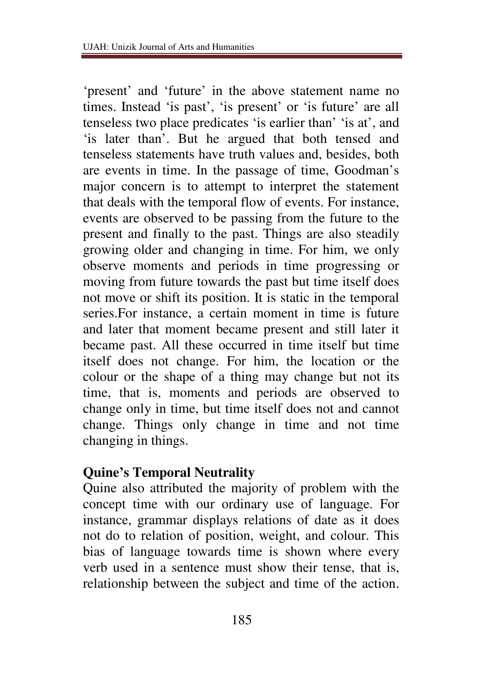'present' and 'future' in the above statement name no times. Instead 'is past', 'is present' or 'is future' are all tenseless two place predicates 'is earlier than' 'is at', and 'is later than'. But he argued that both tensed and tenseless statements have truth values and, besides, both are events in time. In the passage of time, Goodman's major concern is to attempt to interpret the statement that deals with the temporal flow of events. For instance, events are observed to be passing from the future to the present and finally to the past. Things are also steadily growing older and changing in time. For him, we only observe moments and periods in time progressing or moving from future towards the past but time itself does not move or shift its position. It is static in the temporal series.For instance, a certain moment in time is future and later that moment became present and still later it became past. All these occurred in time itself but time itself does not change. For him, the location or the colour or the shape of a thing may change but not its time, that is, moments and periods are observed to change only in time, but time itself does not and cannot change. Things only change in time and not time changing in things.

### **Quine's Temporal Neutrality**

Quine also attributed the majority of problem with the concept time with our ordinary use of language. For instance, grammar displays relations of date as it does not do to relation of position, weight, and colour. This bias of language towards time is shown where every verb used in a sentence must show their tense, that is, relationship between the subject and time of the action.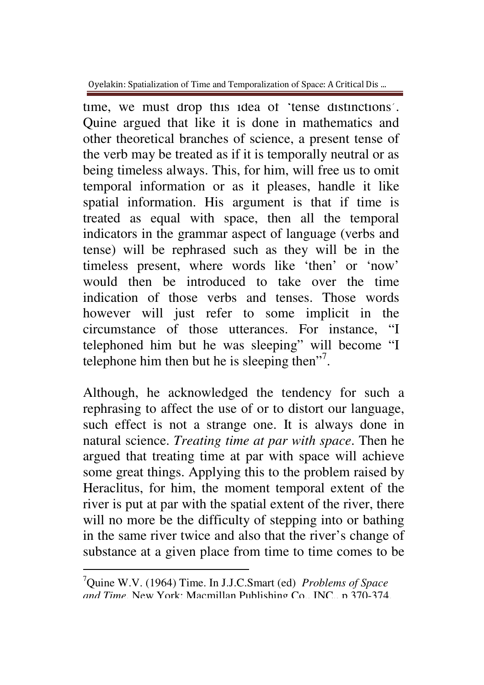Oyelakin: Spatialization of Time and Temporalization of Space: A Critical Dis ...

time, we must drop this idea of 'tense distinctions'. Quine argued that like it is done in mathematics and other theoretical branches of science, a present tense of the verb may be treated as if it is temporally neutral or as being timeless always. This, for him, will free us to omit temporal information or as it pleases, handle it like spatial information. His argument is that if time is treated as equal with space, then all the temporal indicators in the grammar aspect of language (verbs and tense) will be rephrased such as they will be in the timeless present, where words like 'then' or 'now' would then be introduced to take over the time indication of those verbs and tenses. Those words however will just refer to some implicit in the circumstance of those utterances. For instance, "I telephoned him but he was sleeping" will become "I telephone him then but he is sleeping then".

Although, he acknowledged the tendency for such a rephrasing to affect the use of or to distort our language, such effect is not a strange one. It is always done in natural science. *Treating time at par with space*. Then he argued that treating time at par with space will achieve some great things. Applying this to the problem raised by Heraclitus, for him, the moment temporal extent of the river is put at par with the spatial extent of the river, there will no more be the difficulty of stepping into or bathing in the same river twice and also that the river's change of substance at a given place from time to time comes to be

<sup>7</sup>Quine W.V. (1964) Time. In J.J.C.Smart (ed) *Problems of Space and Time*. New York: Macmillan Publishing Co., INC., p 370-374.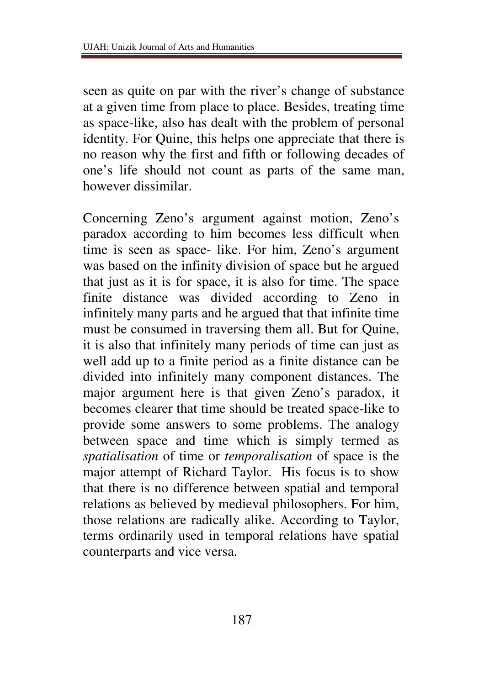seen as quite on par with the river's change of substance at a given time from place to place. Besides, treating time as space-like, also has dealt with the problem of personal identity. For Quine, this helps one appreciate that there is no reason why the first and fifth or following decades of one's life should not count as parts of the same man, however dissimilar.

Concerning Zeno's argument against motion, Zeno's paradox according to him becomes less difficult when time is seen as space- like. For him, Zeno's argument was based on the infinity division of space but he argued that just as it is for space, it is also for time. The space finite distance was divided according to Zeno in infinitely many parts and he argued that that infinite time must be consumed in traversing them all. But for Quine, it is also that infinitely many periods of time can just as well add up to a finite period as a finite distance can be divided into infinitely many component distances. The major argument here is that given Zeno's paradox, it becomes clearer that time should be treated space-like to provide some answers to some problems. The analogy between space and time which is simply termed as *spatialisation* of time or *temporalisation* of space is the major attempt of Richard Taylor. His focus is to show that there is no difference between spatial and temporal relations as believed by medieval philosophers. For him, those relations are radically alike. According to Taylor, terms ordinarily used in temporal relations have spatial counterparts and vice versa.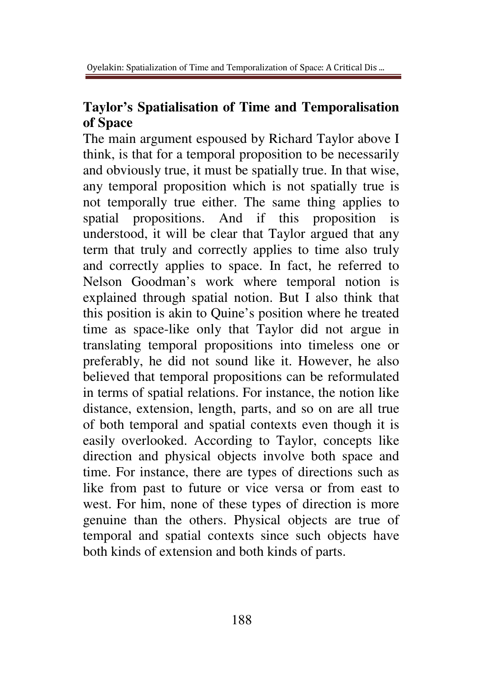# **Taylor's Spatialisation of Time and Temporalisation of Space**

The main argument espoused by Richard Taylor above I think, is that for a temporal proposition to be necessarily and obviously true, it must be spatially true. In that wise, any temporal proposition which is not spatially true is not temporally true either. The same thing applies to spatial propositions. And if this proposition is understood, it will be clear that Taylor argued that any term that truly and correctly applies to time also truly and correctly applies to space. In fact, he referred to Nelson Goodman's work where temporal notion is explained through spatial notion. But I also think that this position is akin to Quine's position where he treated time as space-like only that Taylor did not argue in translating temporal propositions into timeless one or preferably, he did not sound like it. However, he also believed that temporal propositions can be reformulated in terms of spatial relations. For instance, the notion like distance, extension, length, parts, and so on are all true of both temporal and spatial contexts even though it is easily overlooked. According to Taylor, concepts like direction and physical objects involve both space and time. For instance, there are types of directions such as like from past to future or vice versa or from east to west. For him, none of these types of direction is more genuine than the others. Physical objects are true of temporal and spatial contexts since such objects have both kinds of extension and both kinds of parts.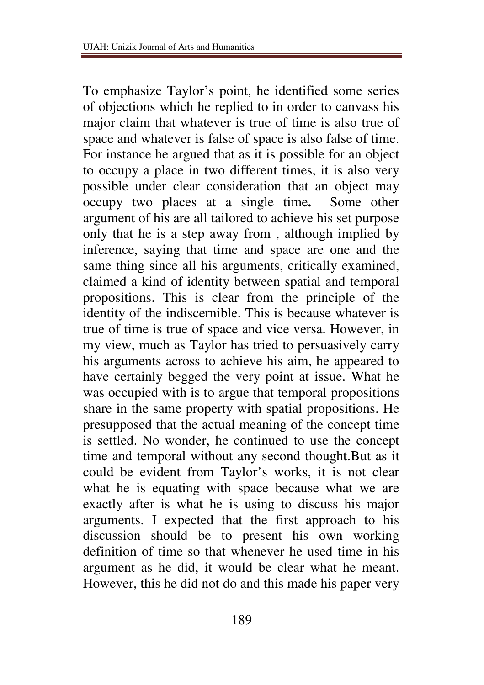To emphasize Taylor's point, he identified some series of objections which he replied to in order to canvass his major claim that whatever is true of time is also true of space and whatever is false of space is also false of time. For instance he argued that as it is possible for an object to occupy a place in two different times, it is also very possible under clear consideration that an object may occupy two places at a single time**.** Some other argument of his are all tailored to achieve his set purpose only that he is a step away from , although implied by inference, saying that time and space are one and the same thing since all his arguments, critically examined, claimed a kind of identity between spatial and temporal propositions. This is clear from the principle of the identity of the indiscernible. This is because whatever is true of time is true of space and vice versa. However, in my view, much as Taylor has tried to persuasively carry his arguments across to achieve his aim, he appeared to have certainly begged the very point at issue. What he was occupied with is to argue that temporal propositions share in the same property with spatial propositions. He presupposed that the actual meaning of the concept time is settled. No wonder, he continued to use the concept time and temporal without any second thought.But as it could be evident from Taylor's works, it is not clear what he is equating with space because what we are exactly after is what he is using to discuss his major arguments. I expected that the first approach to his discussion should be to present his own working definition of time so that whenever he used time in his argument as he did, it would be clear what he meant. However, this he did not do and this made his paper very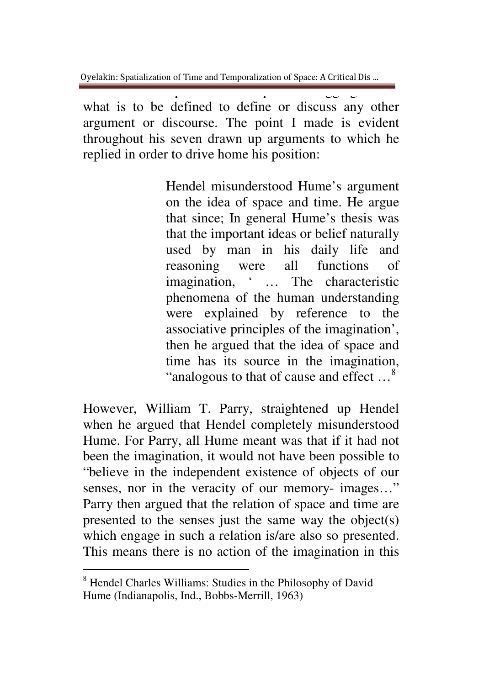different to compute the computation beginning to use  $\frac{1}{2}$ what is to be defined to define or discuss any other argument or discourse. The point I made is evident throughout his seven drawn up arguments to which he replied in order to drive home his position:

> Hendel misunderstood Hume's argument on the idea of space and time. He argue that since; In general Hume's thesis was that the important ideas or belief naturally used by man in his daily life and reasoning were all functions of imagination, ' … The characteristic phenomena of the human understanding were explained by reference to the associative principles of the imagination', then he argued that the idea of space and time has its source in the imagination, "analogous to that of cause and effect ...<sup>8</sup>

However, William T. Parry, straightened up Hendel when he argued that Hendel completely misunderstood Hume. For Parry, all Hume meant was that if it had not been the imagination, it would not have been possible to "believe in the independent existence of objects of our senses, nor in the veracity of our memory- images…" Parry then argued that the relation of space and time are presented to the senses just the same way the object(s) which engage in such a relation is/are also so presented. This means there is no action of the imagination in this

<sup>&</sup>lt;sup>8</sup> Hendel Charles Williams: Studies in the Philosophy of David Hume (Indianapolis, Ind., Bobbs-Merrill, 1963)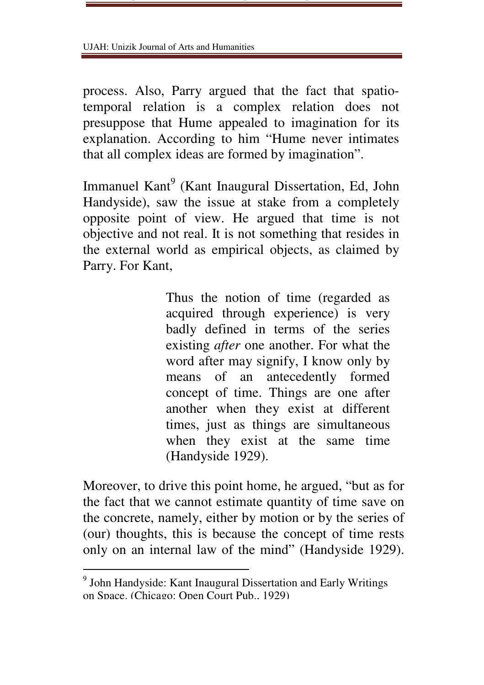process. Also, Parry argued that the fact that spatiotemporal relation is a complex relation does not presuppose that Hume appealed to imagination for its explanation. According to him "Hume never intimates that all complex ideas are formed by imagination".

Oyelakin: Spatialization of Time and Temporalization of Space: A Critical Dis ...

Immanuel Kant<sup>9</sup> (Kant Inaugural Dissertation, Ed, John Handyside), saw the issue at stake from a completely opposite point of view. He argued that time is not objective and not real. It is not something that resides in the external world as empirical objects, as claimed by Parry. For Kant,

> Thus the notion of time (regarded as acquired through experience) is very badly defined in terms of the series existing *after* one another. For what the word after may signify, I know only by means of an antecedently formed concept of time. Things are one after another when they exist at different times, just as things are simultaneous when they exist at the same time (Handyside 1929).

Moreover, to drive this point home, he argued, "but as for the fact that we cannot estimate quantity of time save on the concrete, namely, either by motion or by the series of (our) thoughts, this is because the concept of time rests only on an internal law of the mind" (Handyside 1929).

<sup>&</sup>lt;sup>9</sup> John Handyside: Kant Inaugural Dissertation and Early Writings on Space. (Chicago: Open Court Pub., 1929)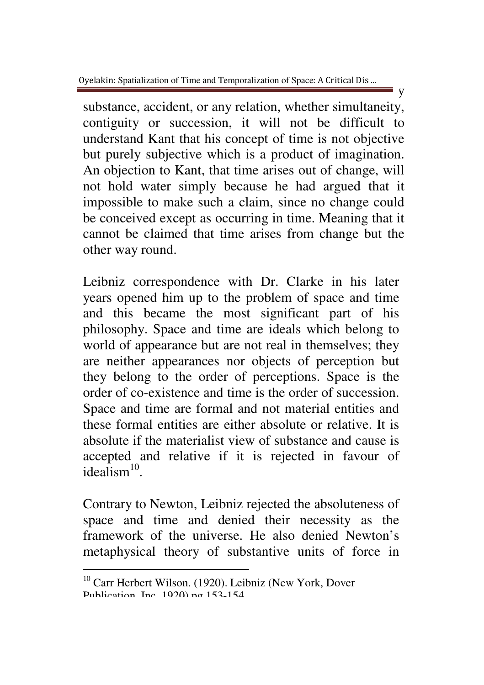$\frac{1}{\sqrt{1-\frac{1}{\sqrt{1-\frac{1}{\sqrt{1-\frac{1}{\sqrt{1-\frac{1}{\sqrt{1-\frac{1}{\sqrt{1-\frac{1}{\sqrt{1-\frac{1}{\sqrt{1-\frac{1}{\sqrt{1-\frac{1}{\sqrt{1-\frac{1}{\sqrt{1-\frac{1}{\sqrt{1-\frac{1}{\sqrt{1-\frac{1}{\sqrt{1-\frac{1}{\sqrt{1-\frac{1}{\sqrt{1-\frac{1}{\sqrt{1-\frac{1}{\sqrt{1-\frac{1}{\sqrt{1-\frac{1}{\sqrt{1-\frac{1}{\sqrt{1-\frac{1}{\sqrt{1-\frac{1}{\sqrt{1-\frac{1}{\sqrt{1-\frac{1$ Oyelakin: Spatialization of Time and Temporalization of Space: A Critical Dis ...

substance, accident, or any relation, whether simultaneity, contiguity or succession, it will not be difficult to understand Kant that his concept of time is not objective but purely subjective which is a product of imagination. An objection to Kant, that time arises out of change, will not hold water simply because he had argued that it impossible to make such a claim, since no change could be conceived except as occurring in time. Meaning that it cannot be claimed that time arises from change but the other way round.

Leibniz correspondence with Dr. Clarke in his later years opened him up to the problem of space and time and this became the most significant part of his philosophy. Space and time are ideals which belong to world of appearance but are not real in themselves; they are neither appearances nor objects of perception but they belong to the order of perceptions. Space is the order of co-existence and time is the order of succession. Space and time are formal and not material entities and these formal entities are either absolute or relative. It is absolute if the materialist view of substance and cause is accepted and relative if it is rejected in favour of  $idealism<sup>10</sup>$ .

Contrary to Newton, Leibniz rejected the absoluteness of space and time and denied their necessity as the framework of the universe. He also denied Newton's metaphysical theory of substantive units of force in

<sup>&</sup>lt;sup>10</sup> Carr Herbert Wilson. (1920). Leibniz (New York, Dover Publication, Inc. 1920) pg  $153-154$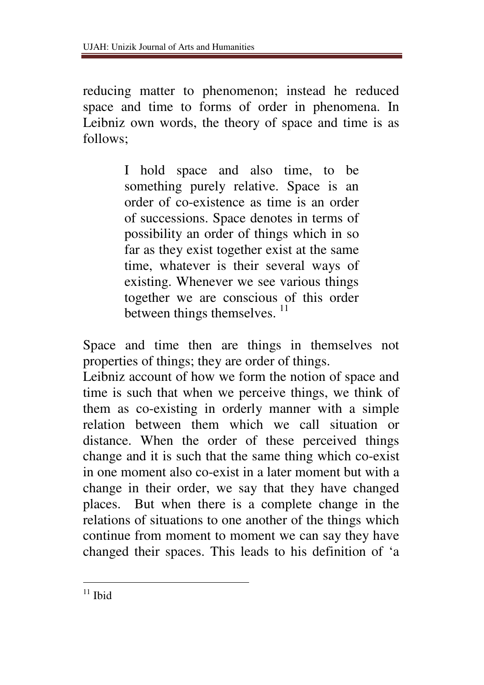reducing matter to phenomenon; instead he reduced space and time to forms of order in phenomena. In Leibniz own words, the theory of space and time is as follows;

> I hold space and also time, to be something purely relative. Space is an order of co-existence as time is an order of successions. Space denotes in terms of possibility an order of things which in so far as they exist together exist at the same time, whatever is their several ways of existing. Whenever we see various things together we are conscious of this order between things themselves.  $11$

Space and time then are things in themselves not properties of things; they are order of things.

Leibniz account of how we form the notion of space and time is such that when we perceive things, we think of them as co-existing in orderly manner with a simple relation between them which we call situation or distance. When the order of these perceived things change and it is such that the same thing which co-exist in one moment also co-exist in a later moment but with a change in their order, we say that they have changed places. But when there is a complete change in the relations of situations to one another of the things which continue from moment to moment we can say they have changed their spaces. This leads to his definition of 'a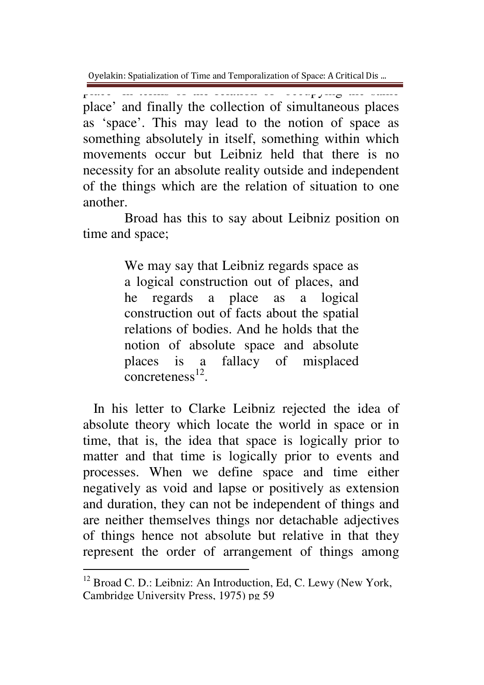place' in terms of the relation of 'occupying the same place' and finally the collection of simultaneous places as 'space'. This may lead to the notion of space as something absolutely in itself, something within which movements occur but Leibniz held that there is no necessity for an absolute reality outside and independent of the things which are the relation of situation to one another.

Broad has this to say about Leibniz position on time and space;

> We may say that Leibniz regards space as a logical construction out of places, and he regards a place as a logical construction out of facts about the spatial relations of bodies. And he holds that the notion of absolute space and absolute places is a fallacy of misplaced  $\frac{12}{2}$ .

 In his letter to Clarke Leibniz rejected the idea of absolute theory which locate the world in space or in time, that is, the idea that space is logically prior to matter and that time is logically prior to events and processes. When we define space and time either negatively as void and lapse or positively as extension and duration, they can not be independent of things and are neither themselves things nor detachable adjectives of things hence not absolute but relative in that they represent the order of arrangement of things among

 $\overline{a}$ 

<sup>&</sup>lt;sup>12</sup> Broad C. D.: Leibniz: An Introduction, Ed, C. Lewy (New York, Cambridge University Press, 1975) pg 59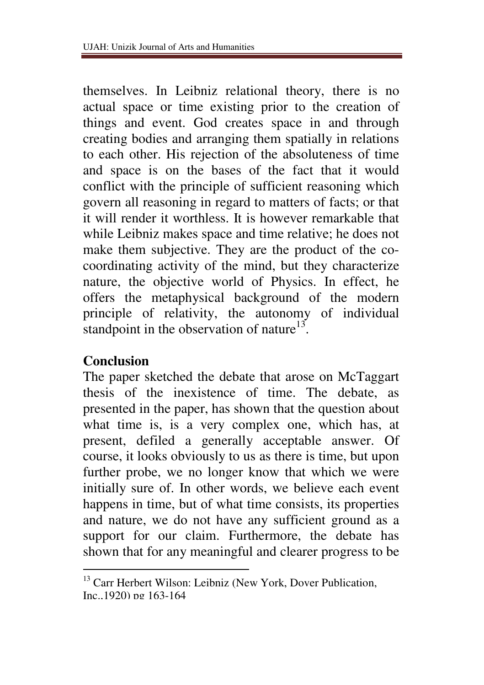themselves. In Leibniz relational theory, there is no actual space or time existing prior to the creation of things and event. God creates space in and through creating bodies and arranging them spatially in relations to each other. His rejection of the absoluteness of time and space is on the bases of the fact that it would conflict with the principle of sufficient reasoning which govern all reasoning in regard to matters of facts; or that it will render it worthless. It is however remarkable that while Leibniz makes space and time relative; he does not make them subjective. They are the product of the cocoordinating activity of the mind, but they characterize nature, the objective world of Physics. In effect, he offers the metaphysical background of the modern principle of relativity, the autonomy of individual standpoint in the observation of nature $13$ .

### **Conclusion**

 $\overline{a}$ 

The paper sketched the debate that arose on McTaggart thesis of the inexistence of time. The debate, as presented in the paper, has shown that the question about what time is, is a very complex one, which has, at present, defiled a generally acceptable answer. Of course, it looks obviously to us as there is time, but upon further probe, we no longer know that which we were initially sure of. In other words, we believe each event happens in time, but of what time consists, its properties and nature, we do not have any sufficient ground as a support for our claim. Furthermore, the debate has shown that for any meaningful and clearer progress to be

<sup>&</sup>lt;sup>13</sup> Carr Herbert Wilson: Leibniz (New York, Dover Publication, Inc.  $1920$ ) pg  $163-164$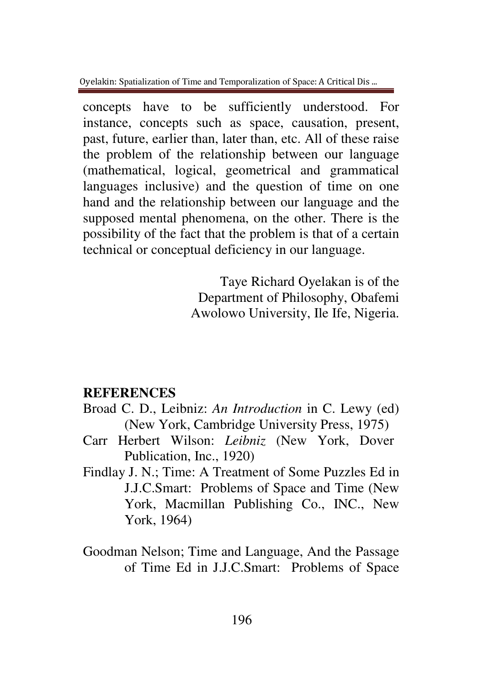$\mathbf{r}$  , the nature of time, some other of time, some other of time, some other of time, some other of time, so Oyelakin: Spatialization of Time and Temporalization of Space: A Critical Dis ...

concepts have to be sufficiently understood. For instance, concepts such as space, causation, present, past, future, earlier than, later than, etc. All of these raise the problem of the relationship between our language (mathematical, logical, geometrical and grammatical languages inclusive) and the question of time on one hand and the relationship between our language and the supposed mental phenomena, on the other. There is the possibility of the fact that the problem is that of a certain technical or conceptual deficiency in our language.

> Taye Richard Oyelakan is of the Department of Philosophy, Obafemi Awolowo University, Ile Ife, Nigeria.

#### **REFERENCES**

- Broad C. D., Leibniz: *An Introduction* in C. Lewy (ed) (New York, Cambridge University Press, 1975)
- Carr Herbert Wilson: *Leibniz* (New York, Dover Publication, Inc., 1920)
- Findlay J. N.; Time: A Treatment of Some Puzzles Ed in J.J.C.Smart: Problems of Space and Time (New York, Macmillan Publishing Co., INC., New York, 1964)
- Goodman Nelson; Time and Language, And the Passage of Time Ed in J.J.C.Smart: Problems of Space